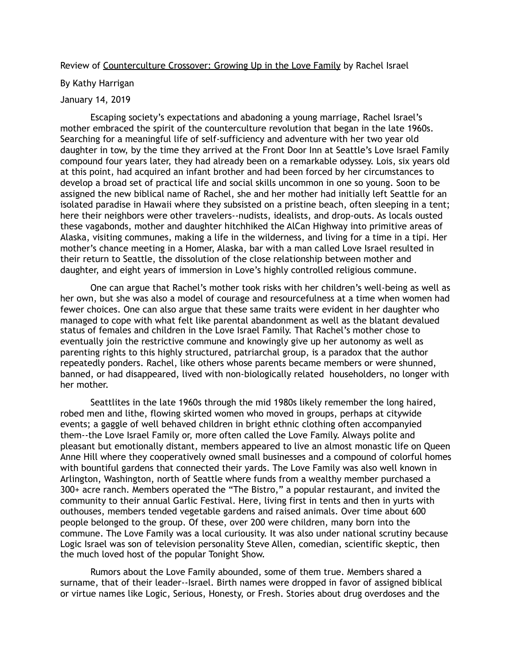## Review of Counterculture Crossover: Growing Up in the Love Family by Rachel Israel

## By Kathy Harrigan

## January 14, 2019

Escaping society's expectations and abadoning a young marriage, Rachel Israel's mother embraced the spirit of the counterculture revolution that began in the late 1960s. Searching for a meaningful life of self-sufficiency and adventure with her two year old daughter in tow, by the time they arrived at the Front Door Inn at Seattle's Love Israel Family compound four years later, they had already been on a remarkable odyssey. Lois, six years old at this point, had acquired an infant brother and had been forced by her circumstances to develop a broad set of practical life and social skills uncommon in one so young. Soon to be assigned the new biblical name of Rachel, she and her mother had initially left Seattle for an isolated paradise in Hawaii where they subsisted on a pristine beach, often sleeping in a tent; here their neighbors were other travelers--nudists, idealists, and drop-outs. As locals ousted these vagabonds, mother and daughter hitchhiked the AlCan Highway into primitive areas of Alaska, visiting communes, making a life in the wilderness, and living for a time in a tipi. Her mother's chance meeting in a Homer, Alaska, bar with a man called Love Israel resulted in their return to Seattle, the dissolution of the close relationship between mother and daughter, and eight years of immersion in Love's highly controlled religious commune.

One can argue that Rachel's mother took risks with her children's well-being as well as her own, but she was also a model of courage and resourcefulness at a time when women had fewer choices. One can also argue that these same traits were evident in her daughter who managed to cope with what felt like parental abandonment as well as the blatant devalued status of females and children in the Love Israel Family. That Rachel's mother chose to eventually join the restrictive commune and knowingly give up her autonomy as well as parenting rights to this highly structured, patriarchal group, is a paradox that the author repeatedly ponders. Rachel, like others whose parents became members or were shunned, banned, or had disappeared, lived with non-biologically related householders, no longer with her mother.

Seattlites in the late 1960s through the mid 1980s likely remember the long haired, robed men and lithe, flowing skirted women who moved in groups, perhaps at citywide events; a gaggle of well behaved children in bright ethnic clothing often accompanyied them--the Love Israel Family or, more often called the Love Family. Always polite and pleasant but emotionally distant, members appeared to live an almost monastic life on Queen Anne Hill where they cooperatively owned small businesses and a compound of colorful homes with bountiful gardens that connected their yards. The Love Family was also well known in Arlington, Washington, north of Seattle where funds from a wealthy member purchased a 300+ acre ranch. Members operated the "The Bistro," a popular restaurant, and invited the community to their annual Garlic Festival. Here, living first in tents and then in yurts with outhouses, members tended vegetable gardens and raised animals. Over time about 600 people belonged to the group. Of these, over 200 were children, many born into the commune. The Love Family was a local curiousity. It was also under national scrutiny because Logic Israel was son of television personality Steve Allen, comedian, scientific skeptic, then the much loved host of the popular Tonight Show.

Rumors about the Love Family abounded, some of them true. Members shared a surname, that of their leader--Israel. Birth names were dropped in favor of assigned biblical or virtue names like Logic, Serious, Honesty, or Fresh. Stories about drug overdoses and the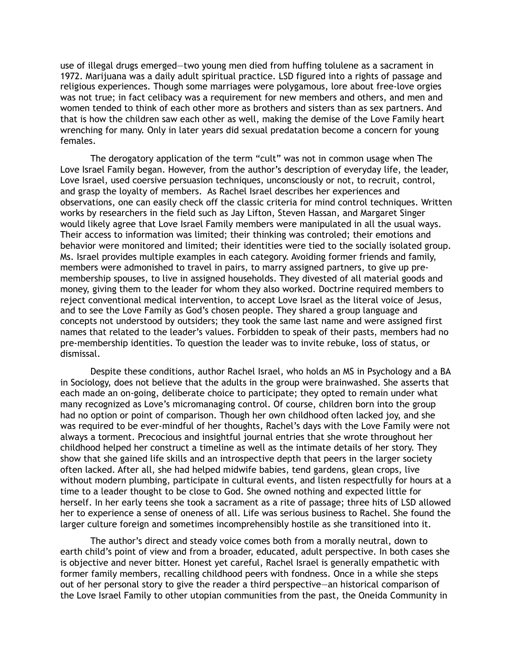use of illegal drugs emerged—two young men died from huffing tolulene as a sacrament in 1972. Marijuana was a daily adult spiritual practice. LSD figured into a rights of passage and religious experiences. Though some marriages were polygamous, lore about free-love orgies was not true; in fact celibacy was a requirement for new members and others, and men and women tended to think of each other more as brothers and sisters than as sex partners. And that is how the children saw each other as well, making the demise of the Love Family heart wrenching for many. Only in later years did sexual predatation become a concern for young females.

The derogatory application of the term "cult" was not in common usage when The Love Israel Family began. However, from the author's description of everyday life, the leader, Love Israel, used coersive persuasion techniques, unconsciously or not, to recruit, control, and grasp the loyalty of members. As Rachel Israel describes her experiences and observations, one can easily check off the classic criteria for mind control techniques. Written works by researchers in the field such as Jay Lifton, Steven Hassan, and Margaret Singer would likely agree that Love Israel Family members were manipulated in all the usual ways. Their access to information was limited; their thinking was controled; their emotions and behavior were monitored and limited; their identities were tied to the socially isolated group. Ms. Israel provides multiple examples in each category. Avoiding former friends and family, members were admonished to travel in pairs, to marry assigned partners, to give up premembership spouses, to live in assigned households. They divested of all material goods and money, giving them to the leader for whom they also worked. Doctrine required members to reject conventional medical intervention, to accept Love Israel as the literal voice of Jesus, and to see the Love Family as God's chosen people. They shared a group language and concepts not understood by outsiders; they took the same last name and were assigned first names that related to the leader's values. Forbidden to speak of their pasts, members had no pre-membership identities. To question the leader was to invite rebuke, loss of status, or dismissal.

Despite these conditions, author Rachel Israel, who holds an MS in Psychology and a BA in Sociology, does not believe that the adults in the group were brainwashed. She asserts that each made an on-going, deliberate choice to participate; they opted to remain under what many recognized as Love's micromanaging control. Of course, children born into the group had no option or point of comparison. Though her own childhood often lacked joy, and she was required to be ever-mindful of her thoughts, Rachel's days with the Love Family were not always a torment. Precocious and insightful journal entries that she wrote throughout her childhood helped her construct a timeline as well as the intimate details of her story. They show that she gained life skills and an introspective depth that peers in the larger society often lacked. After all, she had helped midwife babies, tend gardens, glean crops, live without modern plumbing, participate in cultural events, and listen respectfully for hours at a time to a leader thought to be close to God. She owned nothing and expected little for herself. In her early teens she took a sacrament as a rite of passage; three hits of LSD allowed her to experience a sense of oneness of all. Life was serious business to Rachel. She found the larger culture foreign and sometimes incomprehensibly hostile as she transitioned into it.

The author's direct and steady voice comes both from a morally neutral, down to earth child's point of view and from a broader, educated, adult perspective. In both cases she is objective and never bitter. Honest yet careful, Rachel Israel is generally empathetic with former family members, recalling childhood peers with fondness. Once in a while she steps out of her personal story to give the reader a third perspective—an historical comparison of the Love Israel Family to other utopian communities from the past, the Oneida Community in